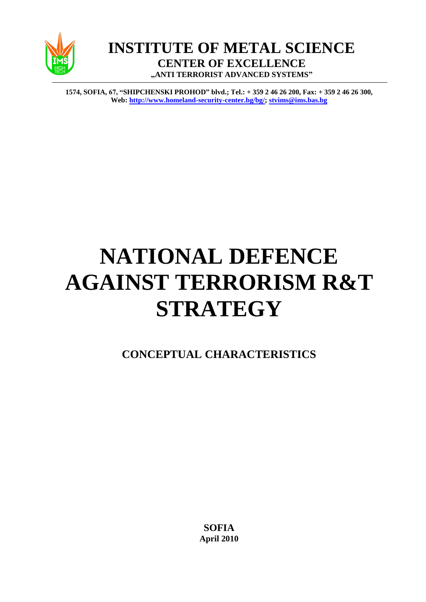

**INSTITUTE OF METAL SCIENCE CENTER OF EXCELLENCE "ANTI TERRORIST ADVANCED SYSTEMS"**

**1574, SOFIA, 67, "SHIPCHENSKI PROHOD" blvd.; Тel.: + 359 2 46 26 200, Fax: + 359 2 46 26 300, Web[: http://www.homeland-security-center.bg/bg/;](http://www.homeland-security-center.bg/bg/) [stvims@ims.bas.bg](mailto:stvims@ims.bas.bg)**

# **NATIONAL DEFENCE AGAINST TERRORISM R&T STRATEGY**

**CONCEPTUAL CHARACTERISTICS**

**SOFIA April 2010**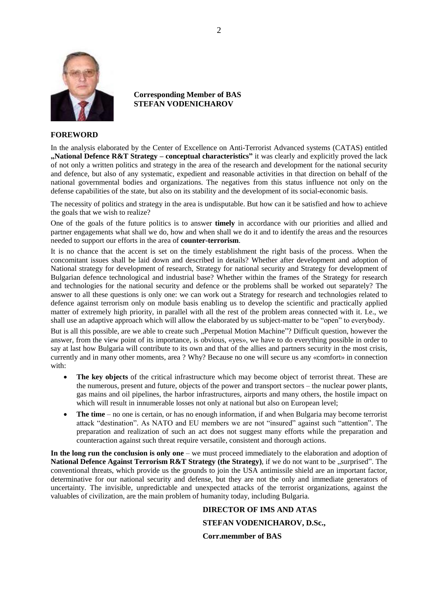

#### **Corresponding Member of BAS STEFAN VODENICHAROV**

#### **FOREWORD**

In the analysis elaborated by the Center of Excellence on Anti-Terrorist Advanced systems (CATAS) entitled **"National Defence R&T Strategy – conceptual characteristics"** it was clearly and explicitly proved the lack of not only a written politics and strategy in the area of the research and development for the national security and defence, but also of any systematic, expedient and reasonable activities in that direction on behalf of the national governmental bodies and organizations. The negatives from this status influence not only on the defense capabilities of the state, but also on its stability and the development of its social-economic basis.

The necessity of politics and strategy in the area is undisputable. But how can it be satisfied and how to achieve the goals that we wish to realize?

One of the goals of the future politics is to answer **timely** in accordance with our priorities and allied and partner engagements what shall we do, how and when shall we do it and to identify the areas and the resources needed to support our efforts in the area of **counter-terrorism**.

It is no chance that the accent is set on the timely establishment the right basis of the process. When the concomitant issues shall be laid down and described in details? Whether after development and adoption of National strategy for development of research, Strategy for national security and Strategy for development of Bulgarian defence technological and industrial base? Whether within the frames of the Strategy for research and technologies for the national security and defence or the problems shall be worked out separately? The answer to all these questions is only one: we can work out a Strategy for research and technologies related to defence against terrorism only on module basis enabling us to develop the scientific and practically applied matter of extremely high priority, in parallel with all the rest of the problem areas connected with it. I.e., we shall use an adaptive approach which will allow the elaborated by us subject-matter to be "open" to everybody.

But is all this possible, are we able to create such "Perpetual Motion Machine"? Difficult question, however the answer, from the view point of its importance, is obvious, «yes», we have to do everything possible in order to say at last how Bulgaria will contribute to its own and that of the allies and partners security in the most crisis, currently and in many other moments, area ? Why? Because no one will secure us any «comfort» in connection with:

- **The key objects** of the critical infrastructure which may become object of terrorist threat. These are the numerous, present and future, objects of the power and transport sectors – the nuclear power plants, gas mains and oil pipelines, the harbor infrastructures, airports and many others, the hostile impact on which will result in innumerable losses not only at national but also on European level;
- **The time** no one is certain, or has no enough information, if and when Bulgaria may become terrorist attack "destination". As NATO and EU members we are not "insured" against such "attention". The preparation and realization of such an act does not suggest many efforts while the preparation and counteraction against such threat require versatile, consistent and thorough actions.

**In the long run the conclusion is only one** – we must proceed immediately to the elaboration and adoption of **National Defence Against Terrorism R&T Strategy (the Strategy), if we do not want to be ...surprised". The** conventional threats, which provide us the grounds to join the USA antimissile shield are an important factor, determinative for our national security and defense, but they are not the only and immediate generators of uncertainty. The invisible, unpredictable and unexpected attacks of the terrorist organizations, against the valuables of civilization, are the main problem of humanity today, including Bulgaria.

## **DIRECTOR OF IMS AND ATAS STEFAN VODENICHAROV, D.Sc., Corr.memmber of BAS**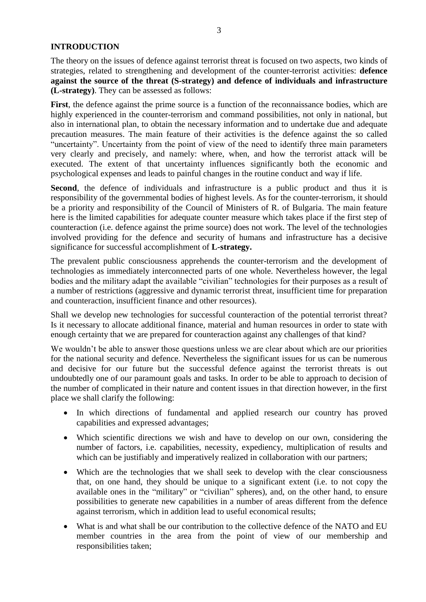## **INTRODUCTION**

The theory on the issues of defence against terrorist threat is focused on two aspects, two kinds of strategies, related to strengthening and development of the counter-terrorist activities: **defence against the source of the threat (S-strategy) and defence of individuals and infrastructure (L-strategy)**. They can be assessed as follows:

First, the defence against the prime source is a function of the reconnaissance bodies, which are highly experienced in the counter-terrorism and command possibilities, not only in national, but also in international plan, to obtain the necessary information and to undertake due and adequate precaution measures. The main feature of their activities is the defence against the so called "uncertainty". Uncertainty from the point of view of the need to identify three main parameters very clearly and precisely, and namely: where, when, and how the terrorist attack will be executed. The extent of that uncertainty influences significantly both the economic and psychological expenses and leads to painful changes in the routine conduct and way if life.

**Second**, the defence of individuals and infrastructure is a public product and thus it is responsibility of the governmental bodies of highest levels. As for the counter-terrorism, it should be a priority and responsibility of the Council of Ministers of R. of Bulgaria. The main feature here is the limited capabilities for adequate counter measure which takes place if the first step of counteraction (i.e. defence against the prime source) does not work. The level of the technologies involved providing for the defence and security of humans and infrastructure has a decisive significance for successful accomplishment of **L-strategy.**

The prevalent public consciousness apprehends the counter-terrorism and the development of technologies as immediately interconnected parts of one whole. Nevertheless however, the legal bodies and the military adapt the available "civilian" technologies for their purposes as a result of a number of restrictions (aggressive and dynamic terrorist threat, insufficient time for preparation and counteraction, insufficient finance and other resources).

Shall we develop new technologies for successful counteraction of the potential terrorist threat? Is it necessary to allocate additional finance, material and human resources in order to state with enough certainty that we are prepared for counteraction against any challenges of that kind?

We wouldn't be able to answer those questions unless we are clear about which are our priorities for the national security and defence. Nevertheless the significant issues for us can be numerous and decisive for our future but the successful defence against the terrorist threats is out undoubtedly one of our paramount goals and tasks. In order to be able to approach to decision of the number of complicated in their nature and content issues in that direction however, in the first place we shall clarify the following:

- In which directions of fundamental and applied research our country has proved capabilities and expressed advantages;
- Which scientific directions we wish and have to develop on our own, considering the number of factors, i.e. capabilities, necessity, expediency, multiplication of results and which can be justifiably and imperatively realized in collaboration with our partners;
- Which are the technologies that we shall seek to develop with the clear consciousness that, on one hand, they should be unique to a significant extent (i.e. to not copy the available ones in the "military" or "civilian" spheres), and, on the other hand, to ensure possibilities to generate new capabilities in a number of areas different from the defence against terrorism, which in addition lead to useful economical results;
- What is and what shall be our contribution to the collective defence of the NATO and EU member countries in the area from the point of view of our membership and responsibilities taken;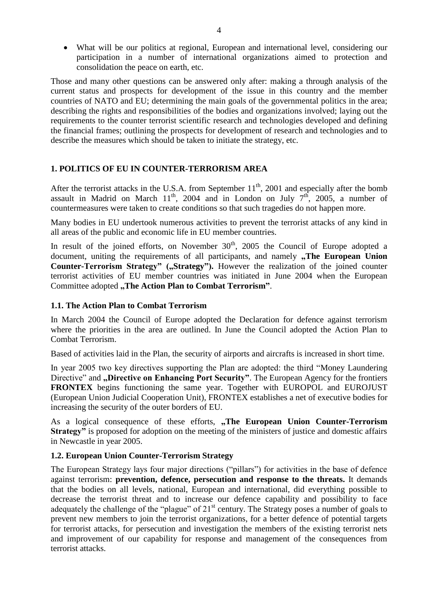What will be our politics at regional, European and international level, considering our participation in a number of international organizations aimed to protection and consolidation the peace on earth, etc.

Those and many other questions can be answered only after: making a through analysis of the current status and prospects for development of the issue in this country and the member countries of NATO and EU; determining the main goals of the governmental politics in the area; describing the rights and responsibilities of the bodies and organizations involved; laying out the requirements to the counter terrorist scientific research and technologies developed and defining the financial frames; outlining the prospects for development of research and technologies and to describe the measures which should be taken to initiate the strategy, etc.

## **1. POLITICS OF EU IN COUNTER-TERRORISM AREA**

After the terrorist attacks in the U.S.A. from September 11<sup>th</sup>, 2001 and especially after the bomb assault in Madrid on March  $11^{th}$ , 2004 and in London on July  $7^{th}$ , 2005, a number of countermeasures were taken to create conditions so that such tragedies do not happen more.

Many bodies in EU undertook numerous activities to prevent the terrorist attacks of any kind in all areas of the public and economic life in EU member countries.

In result of the joined efforts, on November  $30<sup>th</sup>$ , 2005 the Council of Europe adopted a document, uniting the requirements of all participants, and namely **The European Union Counter-Terrorism Strategy"** ("Strategy"). However the realization of the joined counter terrorist activities of EU member countries was initiated in June 2004 when the European Committee adopted **"The Action Plan to Combat Terrorism"**.

## **1.1. The Action Plan to Combat Terrorism**

In March 2004 the Council of Europe adopted the Declaration for defence against terrorism where the priorities in the area are outlined. In June the Council adopted the Action Plan to Combat Terrorism.

Based of activities laid in the Plan, the security of airports and aircrafts is increased in short time.

In year 2005 two key directives supporting the Plan are adopted: the third "Money Laundering Directive" and **"Directive on Enhancing Port Security**". The European Agency for the frontiers **FRONTEX** begins functioning the same year. Together with EUROPOL and EUROJUST (European Union Judicial Cooperation Unit), FRONTEX establishes a net of executive bodies for increasing the security of the outer borders of EU.

As a logical consequence of these efforts, **"The European Union Counter-Terrorism Strategy"** is proposed for adoption on the meeting of the ministers of justice and domestic affairs in Newcastle in year 2005.

## **1.2. European Union Counter-Terrorism Strategy**

The European Strategy lays four major directions ("pillars") for activities in the base of defence against terrorism: **prevention, defence, persecution and response to the threats.** It demands that the bodies on all levels, national, European and international, did everything possible to decrease the terrorist threat and to increase our defence capability and possibility to face adequately the challenge of the "plague" of 21<sup>st</sup> century. The Strategy poses a number of goals to prevent new members to join the terrorist organizations, for a better defence of potential targets for terrorist attacks, for persecution and investigation the members of the existing terrorist nets and improvement of our capability for response and management of the consequences from terrorist attacks.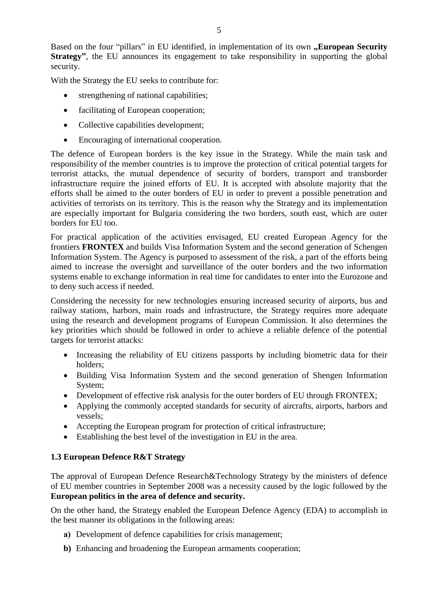Based on the four "pillars" in EU identified, in implementation of its own **"European Security Strategy**", the EU announces its engagement to take responsibility in supporting the global security.

With the Strategy the EU seeks to contribute for:

- strengthening of national capabilities;
- facilitating of European cooperation;
- Collective capabilities development:
- Encouraging of international cooperation.

The defence of European borders is the key issue in the Strategy. While the main task and responsibility of the member countries is to improve the protection of critical potential targets for terrorist attacks, the mutual dependence of security of borders, transport and transborder infrastructure require the joined efforts of EU. It is accepted with absolute majority that the efforts shall be aimed to the outer borders of EU in order to prevent a possible penetration and activities of terrorists on its territory. This is the reason why the Strategy and its implementation are especially important for Bulgaria considering the two borders, south east, which are outer borders for EU too.

For practical application of the activities envisaged, EU created European Agency for the frontiers **FRONTEX** and builds Visa Information System and the second generation of Schengen Information System. The Agency is purposed to assessment of the risk, a part of the efforts being aimed to increase the oversight and surveillance of the outer borders and the two information systems enable to exchange information in real time for candidates to enter into the Eurozone and to deny such access if needed.

Considering the necessity for new technologies ensuring increased security of airports, bus and railway stations, harbors, main roads and infrastructure, the Strategy requires more adequate using the research and development programs of European Commission. It also determines the key priorities which should be followed in order to achieve a reliable defence of the potential targets for terrorist attacks:

- Increasing the reliability of EU citizens passports by including biometric data for their holders;
- Building Visa Information System and the second generation of Shengen Information System;
- Development of effective risk analysis for the outer borders of EU through FRONTEX;
- Applying the commonly accepted standards for security of aircrafts, airports, harbors and vessels;
- Accepting the European program for protection of critical infrastructure;
- Establishing the best level of the investigation in EU in the area.

## **1.3 European Defence R&T Strategy**

The approval of European Defence Research&Technology Strategy by the ministers of defence of EU member countries in September 2008 was a necessity caused by the logic followed by the **European politics in the area of defence and security.** 

On the other hand, the Strategy enabled the European Defence Agency (EDA) to accomplish in the best manner its obligations in the following areas:

- **a)** Development of defence capabilities for crisis management;
- **b)** Enhancing and broadening the European armaments cooperation;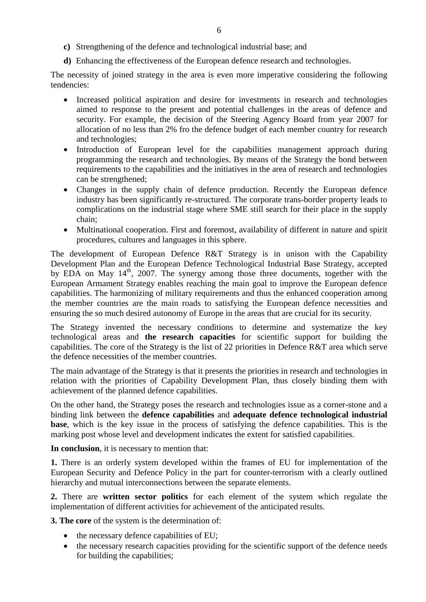- **c)** Strengthening of the defence and technological industrial base; and
- **d)** Enhancing the effectiveness of the European defence research and technologies.

The necessity of joined strategy in the area is even more imperative considering the following tendencies:

- Increased political aspiration and desire for investments in research and technologies aimed to response to the present and potential challenges in the areas of defence and security. For example, the decision of the Steering Agency Board from year 2007 for allocation of no less than 2% fro the defence budget of each member country for research and technologies;
- Introduction of European level for the capabilities management approach during programming the research and technologies. By means of the Strategy the bond between requirements to the capabilities and the initiatives in the area of research and technologies can be strengthened;
- Changes in the supply chain of defence production. Recently the European defence industry has been significantly re-structured. The corporate trans-border property leads to complications on the industrial stage where SME still search for their place in the supply chain;
- Multinational cooperation. First and foremost, availability of different in nature and spirit procedures, cultures and languages in this sphere.

The development of European Defence R&T Strategy is in unison with the Capability Development Plan and the European Defence Technological Industrial Base Strategy, accepted by EDA on May  $14<sup>th</sup>$ , 2007. The synergy among those three documents, together with the European Armament Strategy enables reaching the main goal to improve the European defence capabilities. The harmonizing of military requirements and thus the enhanced cooperation among the member countries are the main roads to satisfying the European defence necessities and ensuring the so much desired autonomy of Europe in the areas that are crucial for its security.

The Strategy invented the necessary conditions to determine and systematize the key technological areas and **the research capacities** for scientific support for building the capabilities. The core of the Strategy is the list of 22 priorities in Defence R&T area which serve the defence necessities of the member countries.

The main advantage of the Strategy is that it presents the priorities in research and technologies in relation with the priorities of Capability Development Plan, thus closely binding them with achievement of the planned defence capabilities.

On the other hand, the Strategy poses the research and technologies issue as a corner-stone and a binding link between the **defence capabilities** and **adequate defence technological industrial base**, which is the key issue in the process of satisfying the defence capabilities. This is the marking post whose level and development indicates the extent for satisfied capabilities.

**In conclusion**, it is necessary to mention that:

**1.** There is an orderly system developed within the frames of EU for implementation of the European Security and Defence Policy in the part for counter-terrorism with a clearly outlined hierarchy and mutual interconnections between the separate elements.

**2.** There are **written sector politics** for each element of the system which regulate the implementation of different activities for achievement of the anticipated results.

**3. The core** of the system is the determination of:

- the necessary defence capabilities of EU;
- the necessary research capacities providing for the scientific support of the defence needs for building the capabilities;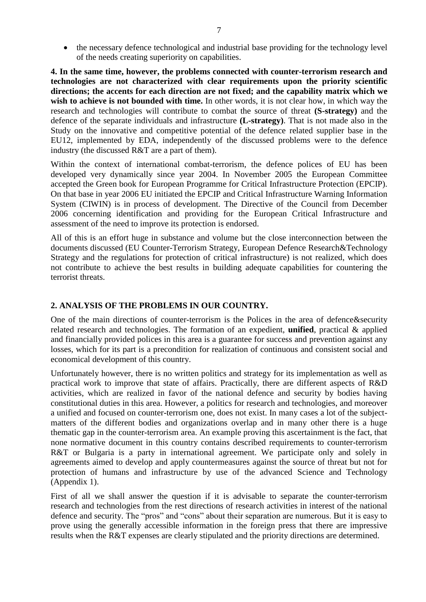• the necessary defence technological and industrial base providing for the technology level of the needs creating superiority on capabilities.

**4. In the same time, however, the problems connected with counter-terrorism research and technologies are not characterized with clear requirements upon the priority scientific directions; the accents for each direction are not fixed; and the capability matrix which we wish to achieve is not bounded with time.** In other words, it is not clear how, in which way the research and technologies will contribute to combat the source of threat **(S-strategy)** and the defence of the separate individuals and infrastructure **(L-strategy)**. That is not made also in the Study on the innovative and competitive potential of the defence related supplier base in the EU12, implemented by EDA, independently of the discussed problems were to the defence industry (the discussed R&T are a part of them).

Within the context of international combat-terrorism, the defence polices of EU has been developed very dynamically since year 2004. In November 2005 the European Committee accepted the Green book for European Programme for Critical Infrastructure Protection (EPCIP). On that base in year 2006 EU initiated the EPCIP and Critical Infrastructure Warning Information System (CIWIN) is in process of development. The Directive of the Council from December 2006 concerning identification and providing for the European Critical Infrastructure and assessment of the need to improve its protection is endorsed.

All of this is an effort huge in substance and volume but the close interconnection between the documents discussed (EU Counter-Terrorism Strategy, European Defence Research&Technology Strategy and the regulations for protection of critical infrastructure) is not realized, which does not contribute to achieve the best results in building adequate capabilities for countering the terrorist threats.

## **2. ANALYSIS OF THE PROBLEMS IN OUR COUNTRY.**

One of the main directions of counter-terrorism is the Polices in the area of defence&security related research and technologies. The formation of an expedient, **unified**, practical & applied and financially provided polices in this area is a guarantee for success and prevention against any losses, which for its part is a precondition for realization of continuous and consistent social and economical development of this country.

Unfortunately however, there is no written politics and strategy for its implementation as well as practical work to improve that state of affairs. Practically, there are different aspects of R&D activities, which are realized in favor of the national defence and security by bodies having constitutional duties in this area. However, a politics for research and technologies, and moreover a unified and focused on counter-terrorism one, does not exist. In many cases a lot of the subjectmatters of the different bodies and organizations overlap and in many other there is a huge thematic gap in the counter-terrorism area. An example proving this ascertainment is the fact, that none normative document in this country contains described requirements to counter-terrorism R&T or Bulgaria is a party in international agreement. We participate only and solely in agreements aimed to develop and apply countermeasures against the source of threat but not for protection of humans and infrastructure by use of the advanced Science and Technology (Appendix 1).

First of all we shall answer the question if it is advisable to separate the counter-terrorism research and technologies from the rest directions of research activities in interest of the national defence and security. The "pros" and "cons" about their separation are numerous. But it is easy to prove using the generally accessible information in the foreign press that there are impressive results when the R&T expenses are clearly stipulated and the priority directions are determined.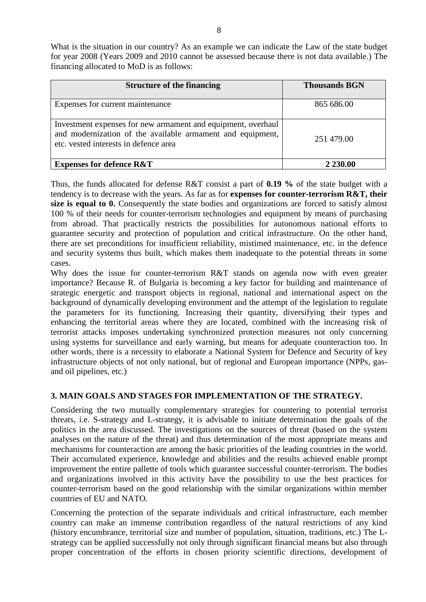What is the situation in our country? As an example we can indicate the Law of the state budget for year 2008 (Years 2009 and 2010 cannot be assessed because there is not data available.) The financing allocated to MoD is as follows:

| <b>Structure of the financing</b>                                                                                                                                   | <b>Thousands BGN</b> |
|---------------------------------------------------------------------------------------------------------------------------------------------------------------------|----------------------|
| Expenses for current maintenance                                                                                                                                    | 865 686.00           |
| Investment expenses for new armament and equipment, overhaul<br>and modernization of the available armament and equipment,<br>etc. vested interests in defence area | 251 479.00           |
| <b>Expenses for defence R&amp;T</b>                                                                                                                                 | 2 230.00             |

Thus, the funds allocated for defense R&T consist a part of **0.19 %** of the state budget with a tendency is to decrease with the years. As far as for **expenses for counter-terrorism R&T, their size is equal to 0.** Consequently the state bodies and organizations are forced to satisfy almost 100 % of their needs for counter-terrorism technologies and equipment by means of purchasing from abroad. That practically restricts the possibilities for autonomous national efforts to guarantee security and protection of population and critical infrastructure. On the other hand, there are set preconditions for insufficient reliability, mistimed maintenance, etc. in the defence and security systems thus built, which makes them inadequate to the potential threats in some cases.

Why does the issue for counter-terrorism R&T stands on agenda now with even greater importance? Because R. of Bulgaria is becoming a key factor for building and maintenance of strategic energetic and transport objects in regional, national and international aspect on the background of dynamically developing environment and the attempt of the legislation to regulate the parameters for its functioning. Increasing their quantity, diversifying their types and enhancing the territorial areas where they are located, combined with the increasing risk of terrorist attacks imposes undertaking synchronized protection measures not only concerning using systems for surveillance and early warning, but means for adequate counteraction too. In other words, there is a necessity to elaborate a National System for Defence and Security of key infrastructure objects of not only national, but of regional and European importance (NPPs, gasand oil pipelines, etc.)

## **3. MAIN GOALS AND STAGES FOR IMPLEMENTATION OF THE STRATEGY.**

Considering the two mutually complementary strategies for countering to potential terrorist threats, i.e. S-strategy and L-strategy, it is advisable to initiate determination the goals of the politics in the area discussed. The investigations on the sources of threat (based on the system analyses on the nature of the threat) and thus determination of the most appropriate means and mechanisms for counteraction are among the basic priorities of the leading countries in the world. Their accumulated experience, knowledge and abilities and the results achieved enable prompt improvement the entire pallette of tools which guarantee successful counter-terrorism. The bodies and organizations involved in this activity have the possibility to use the best practices for counter-terrorism based on the good relationship with the similar organizations within member countries of EU and NATO.

Concerning the protection of the separate individuals and critical infrastructure, each member country can make an immense contribution regardless of the natural restrictions of any kind (history encumbrance, territorial size and number of population, situation, traditions, etc.) The Lstrategy can be applied successfully not only through significant financial means but also through proper concentration of the efforts in chosen priority scientific directions, development of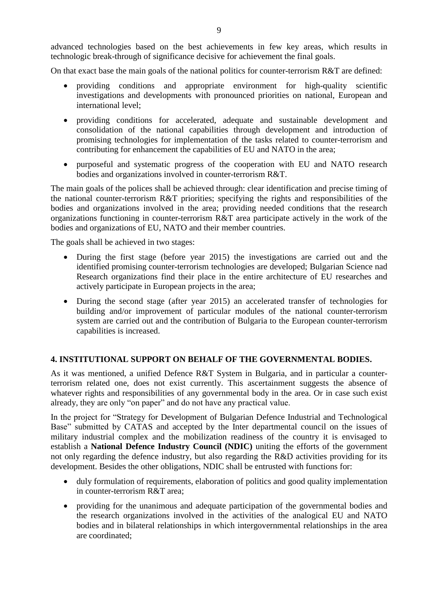advanced technologies based on the best achievements in few key areas, which results in technologic break-through of significance decisive for achievement the final goals.

On that exact base the main goals of the national politics for counter-terrorism  $R\&T$  are defined:

- providing conditions and appropriate environment for high-quality scientific investigations and developments with pronounced priorities on national, European and international level;
- providing conditions for accelerated, adequate and sustainable development and consolidation of the national capabilities through development and introduction of promising technologies for implementation of the tasks related to counter-terrorism and contributing for enhancement the capabilities of EU and NATO in the area;
- purposeful and systematic progress оf the cooperation with EU and NATO research bodies and organizations involved in counter-terrorism R&T.

The main goals of the polices shall be achieved through: clear identification and precise timing of the national counter-terrorism R&T priorities; specifying the rights and responsibilities of the bodies and organizations involved in the area; providing needed conditions that the research organizations functioning in counter-terrorism R&T area participate actively in the work of the bodies and organizations of EU, NATO and their member countries.

The goals shall be achieved in two stages:

- During the first stage (before year 2015) the investigations are carried out and the identified promising counter-terrorism technologies are developed; Bulgarian Science nad Research organizations find their place in the entire architecture of EU researches and actively participate in European projects in the area;
- During the second stage (after year 2015) an accelerated transfer of technologies for building and/or improvement of particular modules of the national counter-terrorism system are carried out and the contribution of Bulgaria to the European counter-terrorism capabilities is increased.

#### **4. INSTITUTIONAL SUPPORT ON BEHALF OF THE GOVERNMENTAL BODIES.**

As it was mentioned, a unified Defence R&T System in Bulgaria, and in particular a counterterrorism related one, does not exist currently. This ascertainment suggests the absence of whatever rights and responsibilities of any governmental body in the area. Or in case such exist already, they are only "on paper" and do not have any practical value.

In the project for "Strategy for Development of Bulgarian Defence Industrial and Technological Base" submitted by CATAS and accepted by the Inter departmental council on the issues of military industrial complex and the mobilization readiness of the country it is envisaged to establish a **National Defence Industry Council (NDIC)** uniting the efforts of the government not only regarding the defence industry, but also regarding the R&D activities providing for its development. Besides the other obligations, NDIC shall be entrusted with functions for:

- duly formulation of requirements, elaboration of politics and good quality implementation in counter-terrorism R&T area;
- providing for the unanimous and adequate participation of the governmental bodies and the research organizations involved in the activities of the analogical EU and NATO bodies and in bilateral relationships in which intergovernmental relationships in the area are coordinated;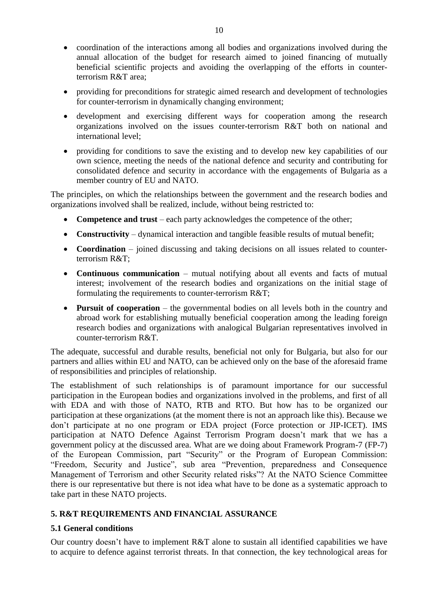- coordination of the interactions among all bodies and organizations involved during the annual allocation of the budget for research aimed to joined financing of mutually beneficial scientific projects and avoiding the overlapping of the efforts in counterterrorism R&T area;
- providing for preconditions for strategic aimed research and development of technologies for counter-terrorism in dynamically changing environment;
- development and exercising different ways for cooperation among the research organizations involved on the issues counter-terrorism R&T both on national and international level;
- providing for conditions to save the existing and to develop new key capabilities of our own science, meeting the needs of the national defence and security and contributing for consolidated defence and security in accordance with the engagements of Bulgaria as a member country of EU and NATO.

The principles, on which the relationships between the government and the research bodies and organizations involved shall be realized, include, without being restricted to:

- **Competence and trust** each party acknowledges the competence of the other;
- **Constructivity** dynamical interaction and tangible feasible results of mutual benefit;
- **Coordination** joined discussing and taking decisions on all issues related to counterterrorism R&T;
- **Continuous communication** mutual notifying about all events and facts of mutual interest; involvement of the research bodies and organizations on the initial stage of formulating the requirements to counter-terrorism R&T;
- **Pursuit of cooperation** the governmental bodies on all levels both in the country and abroad work for establishing mutually beneficial cooperation among the leading foreign research bodies and organizations with analogical Bulgarian representatives involved in counter-terrorism R&T.

The adequate, successful and durable results, beneficial not only for Bulgaria, but also for our partners and allies within EU and NATO, can be achieved only on the base of the aforesaid frame of responsibilities and principles of relationship.

The establishment of such relationships is of paramount importance for our successful participation in the European bodies and organizations involved in the problems, and first of all with EDA and with those of NATO, RTB and RTO. But how has to be organized our participation at these organizations (at the moment there is not an approach like this). Because we don't participate at no one program or EDA project (Force protection or JIP-ICET). IMS participation at NATO Defence Against Terrorism Program doesn't mark that we has a government policy at the discussed area. What are we doing about Framework Program-7 (FP-7) of the European Commission, part "Security" or the Program of European Commission: "Freedom, Security and Justice", sub area "Prevention, preparedness and Consequence Management of Terrorism and other Security related risks"? At the NATO Science Committee there is our representative but there is not idea what have to be done as a systematic approach to take part in these NATO projects.

## **5. R&T REQUIREMENTS AND FINANCIAL ASSURANCE**

## **5.1 General conditions**

Our country doesn't have to implement R&T alone to sustain all identified capabilities we have to acquire to defence against terrorist threats. In that connection, the key technological areas for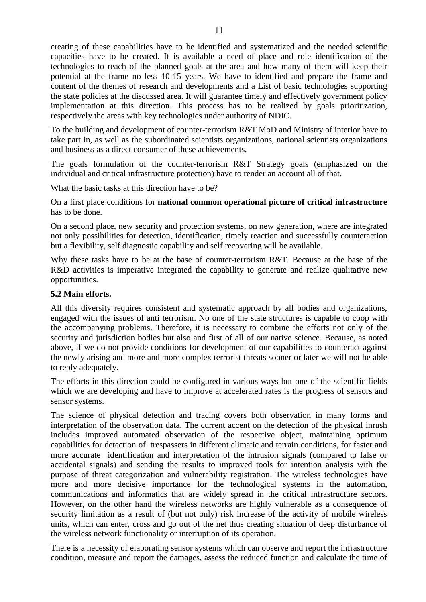creating of these capabilities have to be identified and systematized and the needed scientific capacities have to be created. It is available a need of place and role identification of the technologies to reach of the planned goals at the area and how many of them will keep their potential at the frame no less 10-15 years. We have to identified and prepare the frame and content of the themes of research and developments and a List of basic technologies supporting the state policies at the discussed area. It will guarantee timely and effectively government policy implementation at this direction. This process has to be realized by goals prioritization, respectively the areas with key technologies under authority of NDIC.

To the building and development of counter-terrorism R&T MoD and Ministry of interior have to take part in, as well as the subordinated scientists organizations, national scientists organizations and business as a direct consumer of these achievements.

The goals formulation of the counter-terrorism R&T Strategy goals (emphasized on the individual and critical infrastructure protection) have to render an account all of that.

What the basic tasks at this direction have to be?

On a first place conditions for **national common operational picture of critical infrastructure** has to be done.

On a second place, new security and protection systems, on new generation, where are integrated not only possibilities for detection, identification, timely reaction and successfully counteraction but a flexibility, self diagnostic capability and self recovering will be available.

Why these tasks have to be at the base of counter-terrorism R&T. Because at the base of the R&D activities is imperative integrated the capability to generate and realize qualitative new opportunities.

#### **5.2 Main efforts.**

All this diversity requires consistent and systematic approach by all bodies and organizations, engaged with the issues of anti terrorism. No one of the state structures is capable to coop with the accompanying problems. Therefore, it is necessary to combine the efforts not only of the security and jurisdiction bodies but also and first of all of our native science. Because, as noted above, if we do not provide conditions for development of our capabilities to counteract against the newly arising and more and more complex terrorist threats sooner or later we will not be able to reply adequately.

The efforts in this direction could be configured in various ways but one of the scientific fields which we are developing and have to improve at accelerated rates is the progress of sensors and sensor systems.

The science of physical detection and tracing covers both observation in many forms and interpretation of the observation data. The current accent on the detection of the physical inrush includes improved automated observation of the respective object, maintaining optimum capabilities for detection of trespassers in different climatic and terrain conditions, for faster and more accurate identification and interpretation of the intrusion signals (compared to false or accidental signals) and sending the results to improved tools for intention analysis with the purpose of threat categorization and vulnerability registration. The wireless technologies have more and more decisive importance for the technological systems in the automation, communications and informatics that are widely spread in the critical infrastructure sectors. However, on the other hand the wireless networks are highly vulnerable as a consequence of security limitation as a result of (but not only) risk increase of the activity of mobile wireless units, which can enter, cross and go out of the net thus creating situation of deep disturbance of the wireless network functionality or interruption of its operation.

There is a necessity of elaborating sensor systems which can observe and report the infrastructure condition, measure and report the damages, assess the reduced function and calculate the time of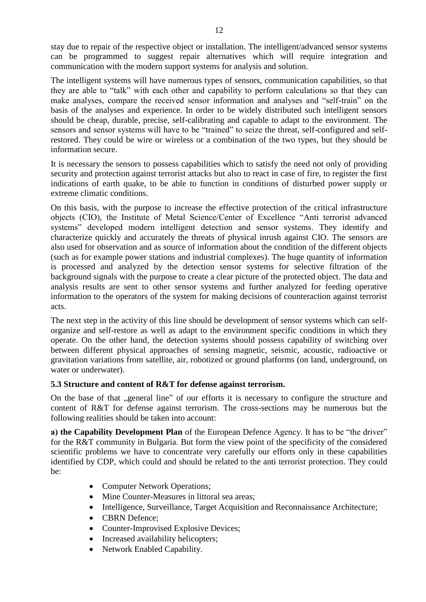stay due to repair of the respective object or installation. The intelligent/advanced sensor systems can be programmed to suggest repair alternatives which will require integration and communication with the modern support systems for analysis and solution.

The intelligent systems will have numerous types of sensors, communication capabilities, so that they are able to "talk" with each other and capability to perform calculations so that they can make analyses, compare the received sensor information and analyses and "self-train" on the basis of the analyses and experience. In order to be widely distributed such intelligent sensors should be cheap, durable, precise, self-calibrating and capable to adapt to the environment. The sensors and sensor systems will have to be "trained" to seize the threat, self-configured and selfrestored. They could be wire or wireless or a combination of the two types, but they should be information secure.

It is necessary the sensors to possess capabilities which to satisfy the need not only of providing security and protection against terrorist attacks but also to react in case of fire, to register the first indications of earth quake, to be able to function in conditions of disturbed power supply or extreme climatic conditions.

On this basis, with the purpose to increase the effective protection of the critical infrastructure objects (CIO), the Institute of Metal Science/Center of Excellence "Anti terrorist advanced systems" developed modern intelligent detection and sensor systems. They identify and characterize quickly and accurately the threats of physical inrush against CIO. The sensors are also used for observation and as source of information about the condition of the different objects (such as for example power stations and industrial complexes). The huge quantity of information is processed and analyzed by the detection sensor systems for selective filtration of the background signals with the purpose to create a clear picture of the protected object. The data and analysis results are sent to other sensor systems and further analyzed for feeding operative information to the operators of the system for making decisions of counteraction against terrorist acts.

The next step in the activity of this line should be development of sensor systems which can selforganize and self-restore as well as adapt to the environment specific conditions in which they operate. On the other hand, the detection systems should possess capability of switching over between different physical approaches of sensing magnetic, seismic, acoustic, radioactive or gravitation variations from satellite, air, robotized or ground platforms (on land, underground, on water or underwater).

## **5.3 Structure and content of R&T for defense against terrorism.**

On the base of that "general line" of our efforts it is necessary to configure the structure and content of R&T for defense against terrorism. The cross-sections may be numerous but the following realities should be taken into account:

**a) the Capability Development Plan** of the European Defence Agency. It has to be "the driver" for the R&T community in Bulgaria. But form the view point of the specificity of the considered scientific problems we have to concentrate very carefully our efforts only in these capabilities identified by CDP, which could and should be related to the anti terrorist protection. They could be:

- Computer Network Operations;
- Mine Counter-Measures in littoral sea areas;
- Intelligence, Surveillance, Target Acquisition and Reconnaissance Architecture;
- CBRN Defence;
- Counter-Improvised Explosive Devices;
- Increased availability helicopters;
- Network Enabled Capability.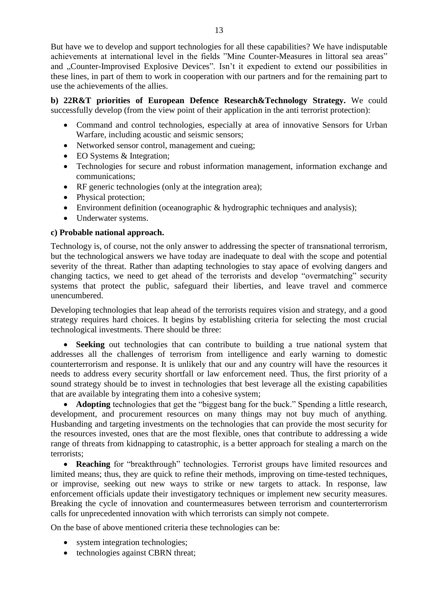But have we to develop and support technologies for all these capabilities? We have indisputable achievements at international level in the fields "Mine Counter-Measures in littoral sea areas" and "Counter-Improvised Explosive Devices". Isn't it expedient to extend our possibilities in these lines, in part of them to work in cooperation with our partners and for the remaining part to use the achievements of the allies.

**b) 22R&T priorities of European Defence Research&Technology Strategy.** We could successfully develop (from the view point of their application in the anti terrorist protection):

- Command and control technologies, especially at area of innovative Sensors for Urban Warfare, including acoustic and seismic sensors;
- Networked sensor control, management and cueing:
- EO Systems & Integration;
- Technologies for secure and robust information management, information exchange and communications;
- RF generic technologies (only at the integration area);
- Physical protection;
- Environment definition (oceanographic & hydrographic techniques and analysis);
- Underwater systems.

## **c) Probable national approach.**

Technology is, of course, not the only answer to addressing the specter of transnational terrorism, but the technological answers we have today are inadequate to deal with the scope and potential severity of the threat. Rather than adapting technologies to stay apace of evolving dangers and changing tactics, we need to get ahead of the terrorists and develop "overmatching" security systems that protect the public, safeguard their liberties, and leave travel and commerce unencumbered.

Developing technologies that leap ahead of the terrorists requires vision and strategy, and a good strategy requires hard choices. It begins by establishing criteria for selecting the most crucial technological investments. There should be three:

 **Seeking** out technologies that can contribute to building a true national system that addresses all the challenges of terrorism from intelligence and early warning to domestic counterterrorism and response. It is unlikely that our and any country will have the resources it needs to address every security shortfall or law enforcement need. Thus, the first priority of a sound strategy should be to invest in technologies that best leverage all the existing capabilities that are available by integrating them into a cohesive system;

• **Adopting** technologies that get the "biggest bang for the buck." Spending a little research, development, and procurement resources on many things may not buy much of anything. Husbanding and targeting investments on the technologies that can provide the most security for the resources invested, ones that are the most flexible, ones that contribute to addressing a wide range of threats from kidnapping to catastrophic, is a better approach for stealing a march on the terrorists;

 **Reaching** for "breakthrough" technologies. Terrorist groups have limited resources and limited means; thus, they are quick to refine their methods, improving on time-tested techniques, or improvise, seeking out new ways to strike or new targets to attack. In response, law enforcement officials update their investigatory techniques or implement new security measures. Breaking the cycle of innovation and countermeasures between terrorism and counterterrorism calls for unprecedented innovation with which terrorists can simply not compete.

On the base of above mentioned criteria these technologies can be:

- system integration technologies;
- technologies against CBRN threat;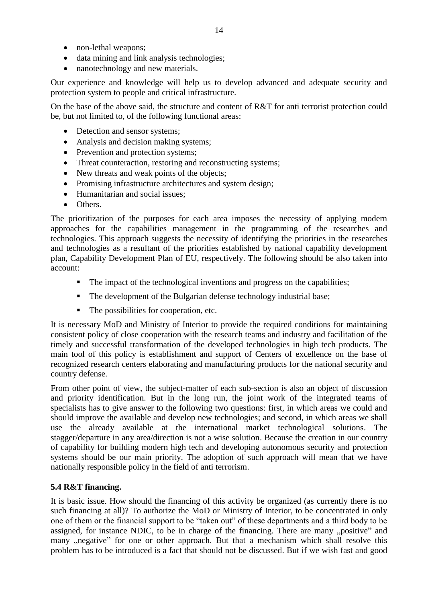- non-lethal weapons;
- data mining and link analysis technologies;
- nanotechnology and new materials.

Our experience and knowledge will help us to develop advanced and adequate security and protection system to people and critical infrastructure.

On the base of the above said, the structure and content of R&T for anti terrorist protection could be, but not limited to, of the following functional areas:

- Detection and sensor systems;
- Analysis and decision making systems;
- Prevention and protection systems;
- Threat counteraction, restoring and reconstructing systems;
- New threats and weak points of the objects;
- Promising infrastructure architectures and system design;
- Humanitarian and social issues:
- Others.

The prioritization of the purposes for each area imposes the necessity of applying modern approaches for the capabilities management in the programming of the researches and technologies. This approach suggests the necessity of identifying the priorities in the researches and technologies as a resultant of the priorities established by national capability development plan, Capability Development Plan of EU, respectively. The following should be also taken into account:

- The impact of the technological inventions and progress on the capabilities;
- The development of the Bulgarian defense technology industrial base;
- The possibilities for cooperation, etc.

It is necessary MoD and Ministry of Interior to provide the required conditions for maintaining consistent policy of close cooperation with the research teams and industry and facilitation of the timely and successful transformation of the developed technologies in high tech products. The main tool of this policy is establishment and support of Centers of excellence on the base of recognized research centers elaborating and manufacturing products for the national security and country defense.

From other point of view, the subject-matter of each sub-section is also an object of discussion and priority identification. But in the long run, the joint work of the integrated teams of specialists has to give answer to the following two questions: first, in which areas we could and should improve the available and develop new technologies; and second, in which areas we shall use the already available at the international market technological solutions. The stagger/departure in any area/direction is not a wise solution. Because the creation in our country of capability for building modern high tech and developing autonomous security and protection systems should be our main priority. The adoption of such approach will mean that we have nationally responsible policy in the field of anti terrorism.

## **5.4 R&T financing.**

It is basic issue. How should the financing of this activity be organized (as currently there is no such financing at all)? To authorize the MoD or Ministry of Interior, to be concentrated in only one of them or the financial support to be "taken out" of these departments and a third body to be assigned, for instance NDIC, to be in charge of the financing. There are many "positive" and many "negative" for one or other approach. But that a mechanism which shall resolve this problem has to be introduced is a fact that should not be discussed. But if we wish fast and good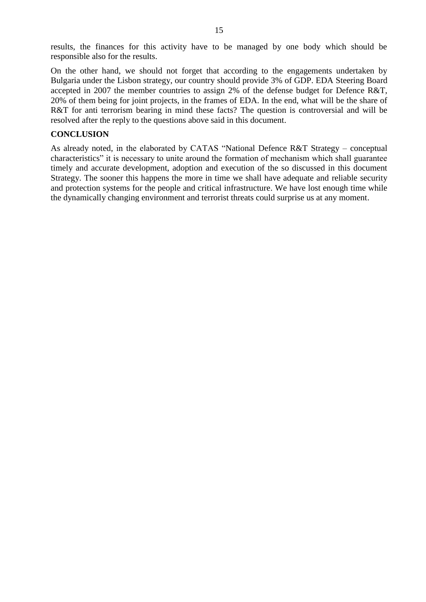results, the finances for this activity have to be managed by one body which should be responsible also for the results.

On the other hand, we should not forget that according to the engagements undertaken by Bulgaria under the Lisbon strategy, our country should provide 3% of GDP. EDA Steering Board accepted in 2007 the member countries to assign 2% of the defense budget for Defence R&T, 20% of them being for joint projects, in the frames of EDA. In the end, what will be the share of R&T for anti-terrorism bearing in mind these facts? The question is controversial and will be resolved after the reply to the questions above said in this document.

#### **CONCLUSION**

As already noted, in the elaborated by CATAS "National Defence R&T Strategy – conceptual characteristics" it is necessary to unite around the formation of mechanism which shall guarantee timely and accurate development, adoption and execution of the so discussed in this document Strategy. The sooner this happens the more in time we shall have adequate and reliable security and protection systems for the people and critical infrastructure. We have lost enough time while the dynamically changing environment and terrorist threats could surprise us at any moment.